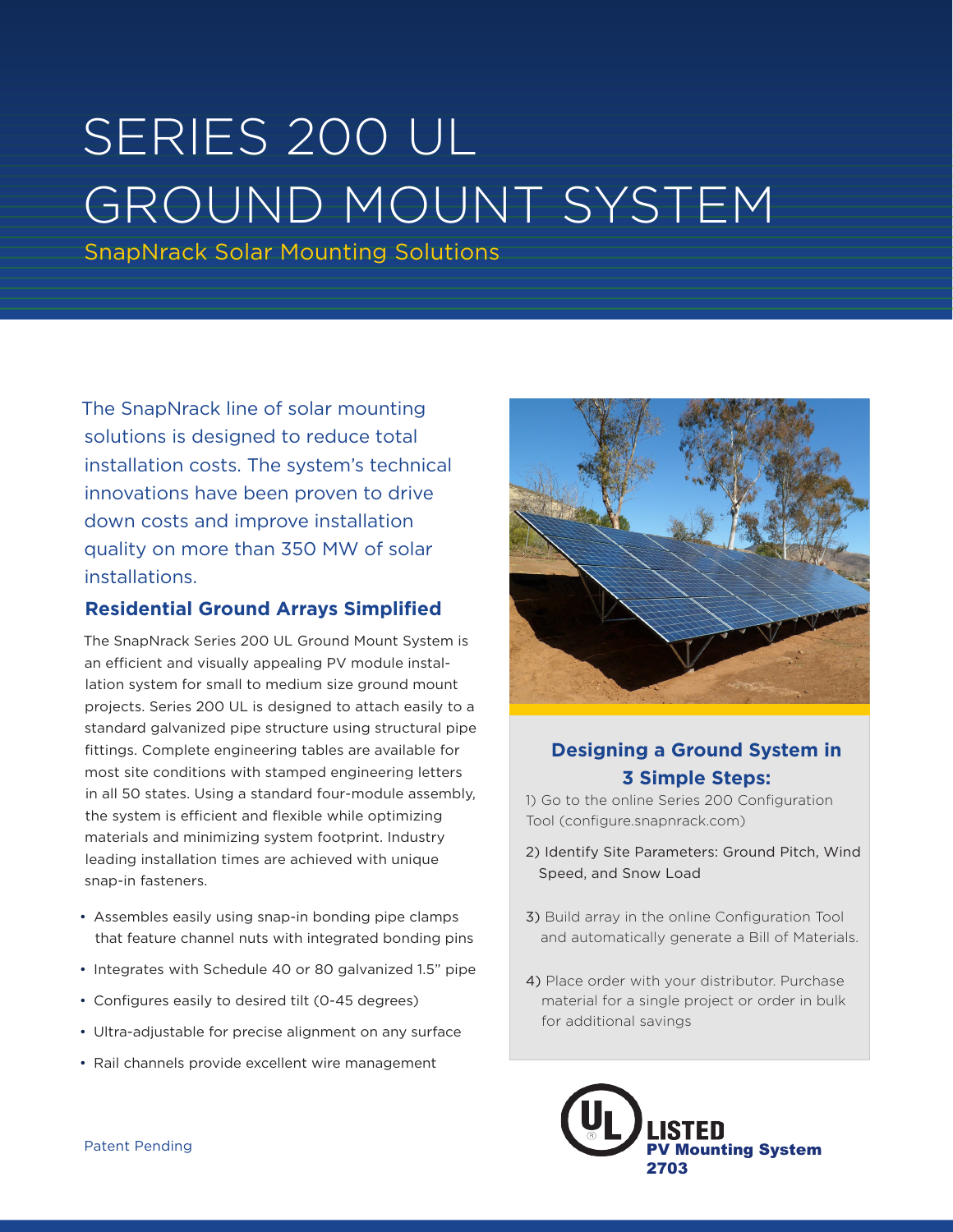## SERIES 200 UL GROUND MOUNT SYSTEM

SnapNrack Solar Mounting Solutions

The SnapNrack line of solar mounting solutions is designed to reduce total installation costs. The system's technical innovations have been proven to drive down costs and improve installation quality on more than 350 MW of solar installations.

## **Residential Ground Arrays Simplified**

The SnapNrack Series 200 UL Ground Mount System is an efficient and visually appealing PV module installation system for small to medium size ground mount projects. Series 200 UL is designed to attach easily to a standard galvanized pipe structure using structural pipe fittings. Complete engineering tables are available for most site conditions with stamped engineering letters in all 50 states. Using a standard four-module assembly, the system is efficient and flexible while optimizing materials and minimizing system footprint. Industry leading installation times are achieved with unique snap-in fasteners.

- Assembles easily using snap-in bonding pipe clamps that feature channel nuts with integrated bonding pins
- Integrates with Schedule 40 or 80 galvanized 1.5" pipe
- Configures easily to desired tilt (0-45 degrees)
- Ultra-adjustable for precise alignment on any surface
- Rail channels provide excellent wire management



## **Designing a Ground System in 3 Simple Steps:**

1) Go to the online Series 200 Configuration Tool (configure.snapnrack.com)

- 2) Identify Site Parameters: Ground Pitch, Wind Speed, and Snow Load
- 3) Build array in the online Configuration Tool and automatically generate a Bill of Materials.
- 4) Place order with your distributor. Purchase material for a single project or order in bulk for additional savings